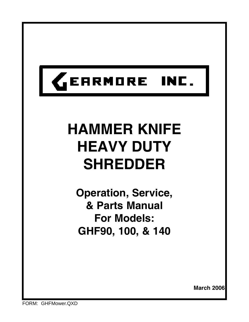

# **HAMMER KNIFE HEAVY DUTY SHREDDER**

**Operation, Service, & Parts Manual For Models: GHF90, 100, & 140**

**March 2006**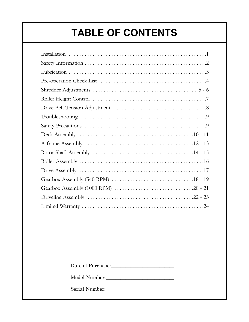### **TABLE OF CONTENTS**

Date of Purchase:\_\_\_\_\_\_\_\_\_\_\_\_\_\_\_\_\_\_\_\_\_\_\_\_\_\_

Model Number:

Serial Number:\_\_\_\_\_\_\_\_\_\_\_\_\_\_\_\_\_\_\_\_\_\_\_\_\_\_\_\_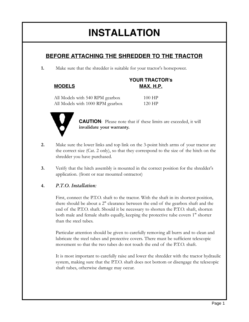### **INSTALLATION**

#### **BEFORE ATTACHING THE SHREDDER TO THE TRACTOR**

**1.** Make sure that the shredder is suitable for your tractor's horsepower.

#### **YOUR TRACTOR's MODELS MAX. H.P.**

All Models with 540 RPM gearbox 100 HP All Models with 1000 RPM gearbox 120 HP



**CAUTION**: Please note that if these limits are exceeded, it will **invalidate your warranty.**

- **2.** Make sure the lower links and top link on the 3-point hitch arms of your tractor are the correct size (Cat. 2 only), so that they correspond to the size of the hitch on the shredder you have purchased.
- **3.** Verify that the hitch assembly is mounted in the correct position for the shredder's application. (front or rear mounted ontractor)

#### **4.** *P.T.O. Installation:*

First, connect the P.T.O. shaft to the tractor. With the shaft in its shortest position, there should be about a 2" clearance between the end of the gearbox shaft and the end of the P.T.O. shaft. Should it be necessary to shorten the P.T.O. shaft, shorten both male and female shafts equally, keeping the protective tube covers 1" shorter than the steel tubes.

Particular attention should be given to carefully removing all burrs and to clean and lubricate the steel tubes and protective covers. There must be sufficient telescopic movement so that the two tubes do not touch the end of the P.T.O. shaft.

It is most important to carefully raise and lower the shredder with the tractor hydraulic system, making sure that the P.T.O. shaft does not bottom or disengage the telescopic shaft tubes, otherwise damage may occur.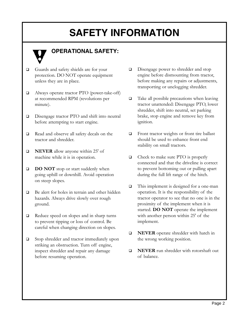### **SAFETY INFORMATION**



#### **OPERATIONAL SAFETY:**

- Guards and safety shields are for your protection. DO NOT operate equipment unless they are in place.
- Always operate tractor PTO (power-take-off) at recommended RPM (revolutions per minute).
- □ Disengage tractor PTO and shift into neutral before attempting to start engine.
- Read and observe all safety decals on the tractor and shredder.
- **NEVER** allow anyone within 25' of machine while it is in operation.
- **DO NOT** stop or start suddenly when going uphill or downhill. Avoid operation on steep slopes.
- □ Be alert for holes in terrain and other hidden hazards. Always drive slowly over rough ground.
- Reduce speed on slopes and in sharp turns to prevent tipping or loss of control. Be careful when changing direction on slopes.
- □ Stop shredder and tractor immediately upon striking an obstruction. Turn off engine, inspect shredder and repair any damage before resuming operation.
- Disengage power to shredder and stop engine before dismounting from tractor, before making any repairs or adjustments, transporting or unclogging shredder.
- $\Box$  Take all possible precautions when leaving tractor unattended: Disengage PTO, lower shredder, shift into neutral, set parking brake, stop engine and remove key from ignition.
- □ Front tractor weights or front tire ballast should be used to enhance front end stability on small tractors.
- □ Check to make sure PTO is properly connected and that the driveline is correct to prevent bottoming out or pulling apart during the full lift range of the hitch.
- □ This implement is designed for a one-man operation. It is the responsibility of the tractor operator to see that no one is in the proximity of the implement when it is started. **DO NOT** operate the implement with another person within 25' of the implement.
- **NEVER** operate shredder with hatch in the wrong working position.
- **NEVER** run shredder with rotorshaft out of balance.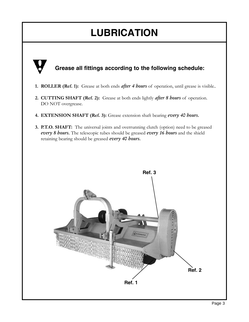### **LUBRICATION**

#### **Grease all fittings according to the following schedule:**

- **1. ROLLER (Ref. 1):** Grease at both ends *after 4 hours* of operation, until grease is visible..
- **2. CUTTING SHAFT (Ref. 2):** Grease at both ends lightly *after 8 hours* of operation. DO NOT overgrease.
- **4. EXTENSION SHAFT (Ref. 3):** Grease extension shaft bearing *every 40 hours.*
- **3. P.T.O. SHAFT:** The universal joints and overrunning clutch (option) need to be greased *every 8 hours.* The telescopic tubes should be greased *every 16 hours* and the shield retaining bearing should be greased *every 40 hours.*

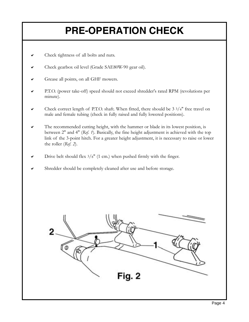## **PRE-OPERATION CHECK**

- $\triangleright$  Check tightness of all bolts and nuts.
- $\blacktriangleright$  Check gearbox oil level (Grade SAE80W-90 gear oil).
- Grease all points, on all GHF mowers.
- P.T.O. (power take-off) speed should not exceed shredder's rated RPM (revolutions per minute).
- $\triangleright$  Check correct length of P.T.O. shaft. When fitted, there should be 3 3/4" free travel on male and female tubing (check in fully raised and fully lowered positions).
- $\triangledown$  The recommended cutting height, with the hammer or blade in its lowest position, is between 2" and 4" (*Ref. 1*). Basically, the fine height adjustment is achieved with the top link of the 3-point hitch. For a greater height adjustment, it is necessary to raise or lower the roller (*Ref. 2*).
- Drive belt should flex  $3/8$ " (1 cm.) when pushed firmly with the finger.
- Shredder should be completely cleaned after use and before storage.

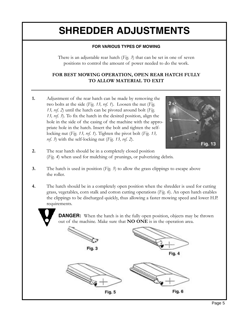### **SHREDDER ADJUSTMENTS**

#### **FOR VARIOUS TYPES OF MOWING**

There is an adjustable rear hatch (*Fig. 3*) that can be set in one of seven positions to control the amount of power needed to do the work.

#### **FOR BEST MOWING OPERATION, OPEN REAR HATCH FULLY TO ALLOW MATERIAL TO EXIT**

**1.** Adjustment of the rear hatch can be made by removing the two bolts at the side (*Fig. 13, ref. 1*). Loosen the nut (*Fig. 13, ref. 2*) until the hatch can be pivoted around bolt (*Fig. 13, ref. 3*). To fix the hatch in the desired position, align the hole in the side of the casing of the machine with the appropriate hole in the hatch. Insert the bolt and tighten the selflocking nut (*Fig. 13, ref. 1*). Tighten the pivot bolt (*Fig. 13, ref. 3*) with the self-locking nut (*Fig. 13, ref. 2*).



- **2.** The rear hatch should be in a completely closed position (*Fig. 4*) when used for mulching of prunings, or pulverizing debris.
- **3.** The hatch is used in position (*Fig. 5*) to allow the grass clippings to escape above the roller.
- **4.** The hatch should be in a completely open position when the shredder is used for cutting grass, vegetables, corn stalk and cotton cutting operations (*Fig. 6*). An open hatch enables the clippings to be discharged quickly, thus allowing a faster mowing speed and lower H.P. requirements.

**DANGER:** When the hatch is in the fully open position, objects may be thrown out of the machine. Make sure that **NO ONE** is in the operation area.

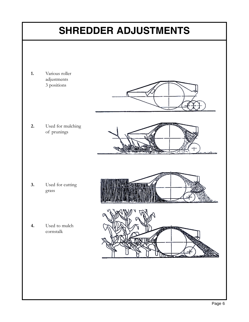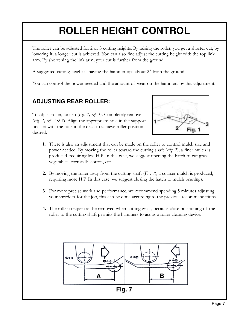### **ROLLER HEIGHT CONTROL**

The roller can be adjusted for 2 or 3 cutting heights. By raising the roller, you get a shorter cut, by lowering it, a longer cut is achieved. You can also fine adjust the cutting height with the top link arm. By shortening the link arm, your cut is further from the ground.

A suggested cutting height is having the hammer tips about 2" from the ground.

You can control the power needed and the amount of wear on the hammers by this adjustment.

#### **ADJUSTING REAR ROLLER:**

To adjust roller, loosen (*Fig. 1, ref. 1*). Completely remove (*Fig. 1, ref. 2 & 3*). Align the appropriate hole in the support bracket with the hole in the deck to achieve roller position desired.



- **1.** There is also an adjustment that can be made on the roller to control mulch size and power needed. By moving the roller toward the cutting shaft (*Fig. 7*), a finer mulch is produced, requiring less H.P. In this case, we suggest opening the hatch to cut grass, vegetables, cornstalk, cotton, etc.
- **2.** By moving the roller away from the cutting shaft (*Fig. 7*), a coarser mulch is produced, requiring more H.P. In this case, we suggest closing the hatch to mulch prunings.
- **3.** For more precise work and performance, we recommend spending 5 minutes adjusting your shredder for the job, this can be done according to the previous recommendations.
- **4.** The roller scraper can be removed when cutting grass, because close positioning of the roller to the cutting shaft permits the hammers to act as a roller cleaning device.

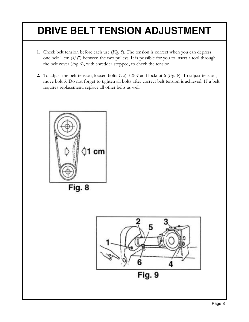### **DRIVE BELT TENSION ADJUSTMENT**

- **1.** Check belt tension before each use (*Fig. 8*). The tension is correct when you can depress one belt 1 cm  $(3/8")$  between the two pulleys. It is possible for you to insert a tool through the belt cover (*Fig. 9*), with shredder stopped, to check the tension.
- **2.** To adjust the belt tension, loosen bolts *1, 2, 3* & *4* and locknut 6 (*Fig. 9*). To adjust tension, move bolt *5*. Do not forget to tighten all bolts after correct belt tension is achieved. If a belt requires replacement, replace all other belts as well.



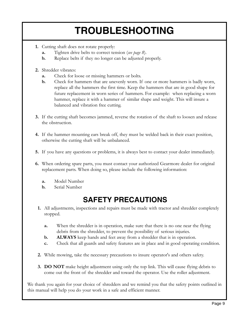### **TROUBLESHOOTING**

- **1.** Cutting shaft does not rotate properly:
	- **a.** Tighten drive belts to correct tension (*see page 8*).
	- **b.** Replace belts if they no longer can be adjusted properly.
- **2.** Shredder vibrates:
	- **a.** Check for loose or missing hammers or bolts.
	- **b.** Check for hammers that are unevenly worn. If one or more hammers is badly worn, replace all the hammers the first time. Keep the hammers that are in good shape for future replacement in worn series of hammers. For example: when replacing a worn hammer, replace it with a hammer of similar shape and weight. This will insure a balanced and vibration free cutting.
- **3.** If the cutting shaft becomes jammed, reverse the rotation of the shaft to loosen and release the obstruction.
- **4.** If the hammer mounting ears break off, they must be welded back in their exact position, otherwise the cutting shaft will be unbalanced.
- **5.** If you have any questions or problems, it is always best to contact your dealer immediately.
- **6.** When ordering spare parts, you must contact your authorized Gearmore dealer for original replacement parts. When doing so, please include the following information:
	- **a.** Model Number
	- **b.** Serial Number

#### **SAFETY PRECAUTIONS**

- **1.** All adjustments, inspections and repairs must be made with tractor and shredder completely stopped.
	- **a.** When the shredder is in operation, make sure that there is no one near the flying debris from the shredder, to prevent the possibility of serious injuries.
	- **b. ALWAYS** keep hands and feet away from a shredder that is in operation.
	- **c.** Check that all guards and safety features are in place and in good operating condition.
- **2.** While mowing, take the necessary precautions to insure operator's and others safety.
- **3. DO NOT** make height adjustment using only the top link. This will cause flying debris to come out the front of the shredder and toward the operator. Use the roller adjustment.

We thank you again for your choice of shredders and we remind you that the safety points outlined in this manual will help you do your work in a safe and efficient manner.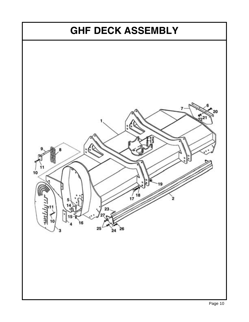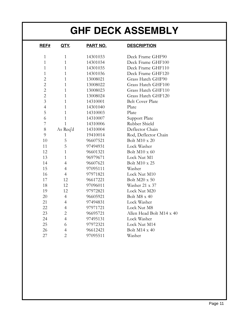### **GHF DECK ASSEMBLY**

| REF#           | QTY.           | <b>PART NO.</b> | <b>DESCRIPTION</b>       |
|----------------|----------------|-----------------|--------------------------|
| $\mathbf{1}$   | $\mathbf{1}$   | 14301033        | Deck Frame GHF90         |
| $\mathbf{1}$   | $\mathbf{1}$   | 14301034        | Deck Frame GHF100        |
| $\mathbf{1}$   | $\mathbf{1}$   | 14301035        | Deck Frame GHF110        |
| $\mathbf{1}$   | 1              | 14301036        | Deck Frame GHF120        |
| $\overline{c}$ | $\mathbf{1}$   | 13008021        | Grass Hatch GHF90        |
| $\overline{c}$ | $\mathbf{1}$   | 13008022        | Grass Hatch GHF100       |
| $\overline{c}$ | $\mathbf{1}$   | 13008023        | Grass Hatch GHF110       |
| $\overline{c}$ | $\mathbf{1}$   | 13008024        | Grass Hatch GHF120       |
| 3              | 1              | 14310001        | <b>Belt Cover Plate</b>  |
| $\overline{4}$ | $\mathbf{1}$   | 14301040        | Plate                    |
| 5              | 1              | 14310003        | Plate                    |
| 6              | 1              | 14310007        | Support Plate            |
| 7              | $\mathbf{1}$   | 14310006        | Rubber Shield            |
| 8              | As Req'd       | 14310004        | Deflector Chain          |
| 9              | 1              | 19410014        | Rod, Deflector Chain     |
| 10             | 5              | 96607521        | Bolt M10 x 20            |
| 11             | 5              | 97494931        | Lock Washer              |
| 12             | 1              | 96601321        | Bolt M10 x 60            |
| 13             | $\mathbf{1}$   | 96979671        | Lock Nut M1              |
| 14             | $\overline{4}$ | 96607621        | Bolt M10 x 25            |
| 15             | $\overline{4}$ | 97095111        | Washer                   |
| 16             | $\overline{4}$ | 97971821        | Lock Nut M10             |
| 17             | 12             | 96617221        | Bolt M20 x 50            |
| 18             | 12             | 97096011        | Washer 21 x 37           |
| 19             | 12             | 97972821        | Lock Nut M20             |
| 20             | $\overline{4}$ | 96605921        | Bolt M8 x 40             |
| 21             | $\overline{4}$ | 97494831        | Lock Washer              |
| 22             | $\overline{4}$ | 97971721        | Lock Nut M8              |
| 23             | $\overline{2}$ | 96695721        | Allen Head Bolt M14 x 40 |
| 24             | $\overline{4}$ | 97495131        | Lock Washer              |
| 25             | 6              | 97972321        | Lock Nut M14             |
| 26             | 4              | 96612421        | Bolt M14 x 40            |
| 27             | $\overline{2}$ | 97095511        | Washer                   |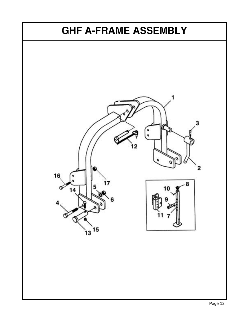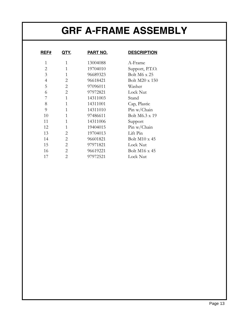### **GRF A-FRAME ASSEMBLY**

| <b>REF#</b>    | <u>QTY.</u>    | <u>PART NO.</u> | <u>DESC</u> |
|----------------|----------------|-----------------|-------------|
| $\mathbf{1}$   | 1              | 13004088        | A-Fra       |
| $\overline{c}$ | $\mathbf{1}$   | 19704010        | Suppo       |
| 3              | $\mathbf{1}$   | 96689323        | Bolt I      |
| $\overline{4}$ | $\mathbf{2}$   | 96618421        | Bolt I      |
| 5              | $\overline{2}$ | 97096011        | Wash        |
| 6              | $\overline{2}$ | 97972821        | Lock        |
| 7              | $\mathbf{1}$   | 14311003        | Stand       |
| 8              | $\mathbf{1}$   | 14311001        | Cap, 1      |
| 9              | 1              | 14311010        | Pin w       |
| 10             | $\mathbf{1}$   | 97486611        | Bolt I      |
| 11             | $\mathbf{1}$   | 14311006        | Suppo       |
| 12             | $\mathbf{1}$   | 19404015        | Pin w       |
| 13             | $\overline{2}$ | 19704013        | Lift P      |
| 14             | $\overline{2}$ | 96601821        | Bolt I      |
| 15             | $\overline{2}$ | 97971821        | Lock        |
| 16             | $\overline{2}$ | 96619221        | Bolt I      |
| 17             | $\overline{2}$ | 97972521        | Lock        |
|                |                |                 |             |

#### **RESCRIPTION**

A-Frame Support, P.T.O. Bolt M6 x 25 Bolt M20 x 150 Washer Lock Nut Cap, Plastic Pin w/Chain Bolt M6.3 x 19 Support Pin w/Chain Lift Pin Bolt M10 x 45 Lock Nut Bolt M16 x 45 Lock Nut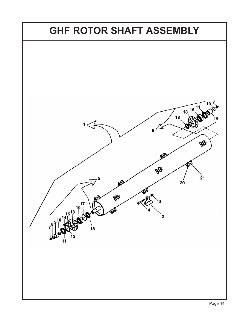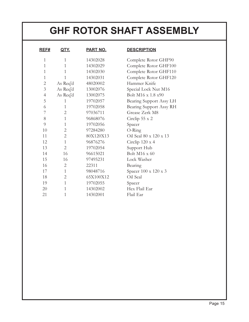### **GHF ROTOR SHAFT ASSEMBLY**

| <u>REF#</u>    | QTY.           | PART NO.  |
|----------------|----------------|-----------|
| 1              | 1              | 14302028  |
| 1              | 1              | 14302029  |
| $\overline{1}$ | 1              | 14302030  |
| $\overline{1}$ | $\overline{1}$ | 14302031  |
| $\mathbf{2}$   | As Req'd       | 48020002  |
| 3              | As Req'd       | 13002076  |
| $\overline{4}$ | As Req'd       | 13002075  |
| 5              | 1              | 19702057  |
| 6              | $\mathbf{1}$   | 19702058  |
| 7              | $\mathbf{2}$   | 97036711  |
| 8              | $\overline{1}$ | 96868076  |
| 9              | $\mathbf{1}$   | 19702056  |
| 10             | $\mathbf{2}$   | 97284280  |
| 11             | $\mathbf{2}$   | 80X120X13 |
| 12             | $\overline{1}$ | 96876276  |
| 13             | $\overline{2}$ | 19702054  |
| 14             | 16             | 96615021  |
| 15             | 16             | 97495231  |
| 16             | $\overline{2}$ | 22311     |
| 17             | 1              | 98048716  |
| 18             | $\overline{2}$ | 65X100X12 |
| 19             | $\overline{1}$ | 19702055  |
| 20             | $\overline{1}$ | 14302002  |
| 21             | 1              | 14302001  |

#### **RESCRIPTION**

Complete Rotor GHF90 Complete Rotor GHF100 Complete Rotor GHF110 Complete Rotor GHF120 Hammer Knife Special Lock Nut M16 Bolt M16 x 1.8 x90 Bearing Support Assy LH Bearing Support Assy RH Grease Zerk M8 Circlip 55 x 2 Spacer O-Ring Oil Seal 80 x 120 x 13 Circlip 120 x 4 Support Hub Bolt M16 x 60 Lock Washer **Bearing** Spacer 100 x 120 x 3 Oil Seal Spacer Hex Flail Ear Flail Ear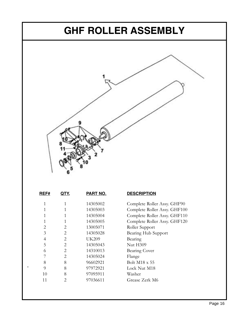#### **GHF ROLLER ASSEMBLY**



| REF# | QTY.           | PART NO. |
|------|----------------|----------|
| 1    | 1              | 14305002 |
| 1    | 1              | 14305003 |
| 1    | 1              | 14305004 |
| 1    | 1              | 14305005 |
| 2    | 2              | 13005071 |
| 3    | 2              | 14305028 |
| 4    | 2              | UK209    |
| 5    | 2              | 14305043 |
| 6    | 2              | 14310013 |
| 7    | $\mathfrak{D}$ | 14305024 |
| 8    | 8              | 96602921 |
| 9    | 8              | 97972921 |
| 10   | 8              | 97095911 |
| 11   | 2              | 97036611 |

#### **RESCRIPTION**

Complete Roller Assy. GHF90 Complete Roller Assy. GHF100 Complete Roller Assy. GHF110 Complete Roller Assy. GHF120 Roller Support Bearing Hub Support Bearing Nut H<sub>309</sub> Bearing Cover Flange Bolt M18 x 55 Lock Nut M18 Washer Grease Zerk M6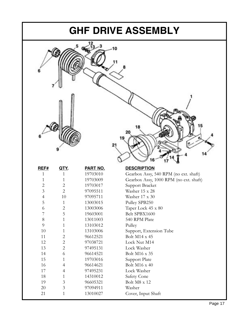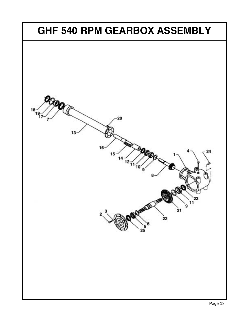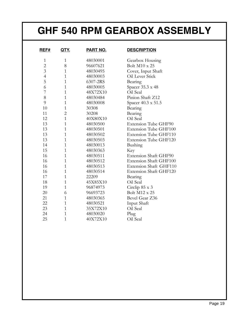### **GHF 540 RPM GEARBOX ASSEMBLY**

| REF#           | QTY.           | <u>PART NO.</u> | <b>DESCRIPTION</b>            |
|----------------|----------------|-----------------|-------------------------------|
| $\mathbf{1}$   | 1              | 48030001        | Gearbox Housing               |
| $\overline{2}$ | 8              | 96607621        | Bolt M10 x 25                 |
| $\overline{3}$ | 1              | 48030495        | Cover, Input Shaft            |
| $\overline{4}$ | 1              | 48030003        | Oil Lever Stick               |
| 5              | $\mathbf{1}$   | 6307-2RS        | Bearing                       |
| 6              | 1              | 48030005        | Spacer 35.3 x 48              |
| 7              | 1              | 48X72X10        | Oil Seal                      |
| 8              | 1              | 48030484        | Pinion Shaft Z12              |
| 9              | $\mathbf{1}$   | 48030008        | Spacer 40.3 x 51.5            |
| 10             | 1              | 30308           | Bearing                       |
| 11             | $\overline{c}$ | 30208           | Bearing                       |
| 12             | $\mathbf{1}$   | 40X80X10        | Oil Seal                      |
| 13             | $\mathbf{1}$   | 48030500        | <b>Extension Tube GHF90</b>   |
| 13             | 1              | 48030501        | <b>Extension Tube GHF100</b>  |
| 13             | 1              | 48030502        | Extension Tube GHF110         |
| 13             | $\mathbf{1}$   | 48030503        | Extension Tube GHF120         |
| 14             | $\overline{1}$ | 48030013        | Bushing                       |
| 15             | 1              | 48030363        | Key                           |
| 16             | $\mathbf{1}$   | 48030511        | Extension Shaft GHF90         |
| 16             | $\mathbf{1}$   | 48030512        | <b>Extension Shaft GHF100</b> |
| 16             | $\mathbf{1}$   | 48030513        | Extension Shaft GHF110        |
| 16             | $\mathbf{1}$   | 48030514        | <b>Extension Shaft GHF120</b> |
| 17             | 1              | 22209           | Bearing                       |
| 18             | $\mathbf{1}$   | 45X85X10        | Oil Seal                      |
| 19             | $\overline{1}$ | 96874973        | Circlip 85 x 3                |
| 20             | 6              | 96693723        | <b>Bolt M12 x 25</b>          |
| 21             | 1              | 48030365        | Bevel Gear Z36                |
| 22             | 1              | 48030521        | Input Shaft                   |
| 23             | $\mathbf{1}$   | 35X72X10        | Oil Seal                      |
| 24             | 1              | 48030020        | Plug                          |
| 25             | 1              | 40X72X10        | Oil Seal                      |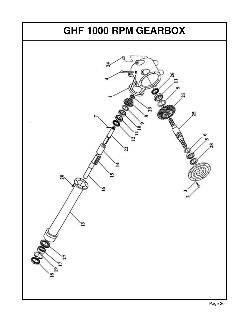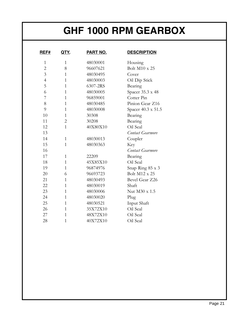### **GHF 1000 RPM GEARBOX**

| <b>REF#</b>    | <u>QTY.</u>    | <b>PART NO.</b> | <b>DESCRIPTION</b>   |
|----------------|----------------|-----------------|----------------------|
| $\mathbf{1}$   | $\mathbf{1}$   | 48030001        | Housing              |
| $\overline{2}$ | 8              | 96607621        | <b>Bolt M10 x 25</b> |
| 3              | 1              | 48030495        | Cover                |
| $\overline{4}$ | $\mathbf{1}$   | 48030003        | Oil Dip Stick        |
| 5              | 1              | 6307-2RS        | Bearing              |
| 6              | $\mathbf{1}$   | 48030005        | Spacer 35.3 x 48     |
| 7              | $\mathbf{1}$   | 96859001        | Cotter Pin           |
| 8              | $\mathbf{1}$   | 48030485        | Pinion Gear Z16      |
| 9              | $\mathbf{1}$   | 48030008        | Spacer 40.3 x 51.5   |
| 10             | 1              | 30308           | Bearing              |
| 11             | $\overline{2}$ | 30208           | Bearing              |
| 12             | $\overline{1}$ | 40X80X10        | Oil Seal             |
| 13             |                |                 | Contact Gearmore     |
| 14             | $\mathbf{1}$   | 48030013        | Coupler              |
| 15             | 1              | 48030363        | Key                  |
| 16             |                |                 | Contact Gearmore     |
| 17             | $\mathbf{1}$   | 22209           | Bearing              |
| 18             | 1              | 45X85X10        | Oil Seal             |
| 19             | 1              | 96874976        | Snap Ring 85 x 3     |
| 20             | 6              | 96693723        | <b>Bolt M12 x 25</b> |
| 21             | 1              | 48030493        | Bevel Gear Z26       |
| 22             | $\mathbf{1}$   | 48030019        | Shaft                |
| 23             | 1              | 48030006        | Nut M30 x 1.5        |
| 24             | $\mathbf{1}$   | 48030020        | Plug                 |
| 25             | $\mathbf{1}$   | 48030521        | Input Shaft          |
| 26             | 1              | 35X72X10        | Oil Seal             |
| 27             | 1              | 48X72X10        | Oil Seal             |
| 28             | $\mathbf 1$    | 40X72X10        | Oil Seal             |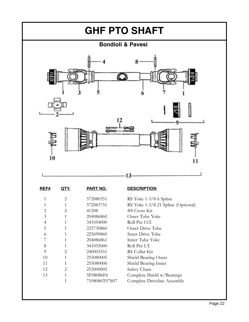

| REF#           | QIY.                        | PART NO.      | <b>DESCRIPTION</b>       |
|----------------|-----------------------------|---------------|--------------------------|
| 1              | 2                           | 572080351     | RS Yoke $1-3/8$ 6 Spline |
| 1              | 1                           | 572083751     | RS Yoke 1-3/8 21 Splin   |
| $\overline{2}$ | $\overline{2}$              | 41208         | #8 Cross Kit             |
| 3              | 1                           | 204086860     | Outer Tube Yoke          |
| 4              | 1                           | 341054000     | Roll Pin O.T.            |
| 5              | 1                           | 225730860     | Outer Drive Tube         |
| 6              | 1                           | 225690860     | Inner Drive Tube         |
| 7              | $\mathbf{1}$                | 204086861     | Inner Tube Yoke          |
| 8              | 1                           | 341055000     | Roll Pin I.T.            |
| 9              | 2                           | 240003551     | RS Collar Kit            |
| 10             | 1                           | 255080005     | Shield Bearing Outer     |
| 11             | 1                           | 255080006     | Shield Bearing Inner     |
| 12             | $\mathcal{D}_{\mathcal{L}}$ | 252000005     | Safety Chain             |
| 13             | 1                           | 5F08086F6     | Complete Shield w/Bea    |
|                | 1                           | 7108086T07S07 | Complete Driveline Ass   |
|                |                             |               |                          |

Spline (Optional) v/Bearings ne Assembly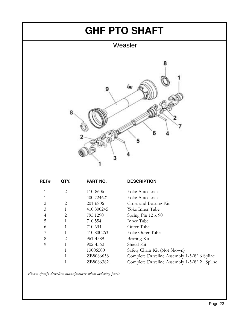

| 2 | 110-8606   | Yoke Auto Lock                               |
|---|------------|----------------------------------------------|
|   | 400.724621 | Yoke Auto Lock                               |
| 2 | 201-6806   | Cross and Bearing Kit                        |
|   | 410.800245 | Yoke Inner Tube                              |
| 2 | 795.1290   | Spring Pin 12 x 90                           |
|   | 710.554    | Inner Tube                                   |
|   | 710.634    | Outer Tube                                   |
|   | 410.800263 | Yoke Outer Tube                              |
| 2 | 961-4589   | Bearing Kit                                  |
|   | 902-4560   | Shield Kit                                   |
|   | 13006500   | Safety Chain Kit (Not Shown)                 |
|   | ZB8086638  | Complete Driveline Assembly 1-3/8" 6 Spline  |
|   | ZB80863821 | Complete Driveline Assembly 1-3/8" 21 Spline |
|   |            |                                              |

*Please specify driveline manufacturer when ordering parts.*